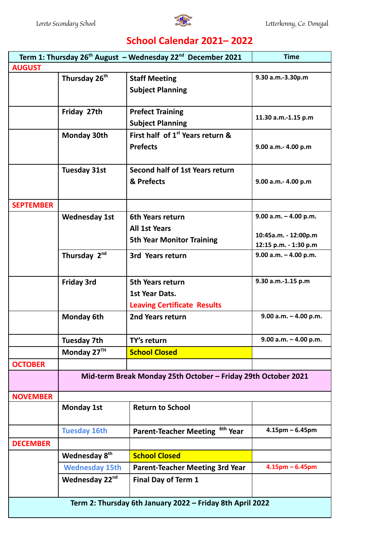

## **School Calendar 2021– 2022**

| Term 1: Thursday $26^{th}$ August - Wednesday $22^{nd}$ December 2021<br><b>Time</b> |                                                               |                                              |                                                |  |  |
|--------------------------------------------------------------------------------------|---------------------------------------------------------------|----------------------------------------------|------------------------------------------------|--|--|
| <b>AUGUST</b>                                                                        |                                                               |                                              |                                                |  |  |
|                                                                                      | Thursday 26 <sup>th</sup>                                     | <b>Staff Meeting</b>                         | 9.30 a.m.-3.30p.m                              |  |  |
|                                                                                      |                                                               | <b>Subject Planning</b>                      |                                                |  |  |
|                                                                                      |                                                               |                                              |                                                |  |  |
|                                                                                      | Friday 27th                                                   | <b>Prefect Training</b>                      | 11.30 a.m.-1.15 p.m                            |  |  |
|                                                                                      |                                                               | <b>Subject Planning</b>                      |                                                |  |  |
|                                                                                      | <b>Monday 30th</b>                                            | First half of 1 <sup>st</sup> Years return & |                                                |  |  |
|                                                                                      |                                                               | <b>Prefects</b>                              | 9.00 a.m.- 4.00 p.m                            |  |  |
|                                                                                      |                                                               |                                              |                                                |  |  |
|                                                                                      | <b>Tuesday 31st</b>                                           | Second half of 1st Years return              |                                                |  |  |
|                                                                                      |                                                               | & Prefects                                   | 9.00 a.m.- 4.00 p.m                            |  |  |
|                                                                                      |                                                               |                                              |                                                |  |  |
| <b>SEPTEMBER</b>                                                                     |                                                               |                                              |                                                |  |  |
|                                                                                      | <b>Wednesday 1st</b>                                          | 6th Years return                             | $9.00$ a.m. $-$ 4.00 p.m.                      |  |  |
|                                                                                      |                                                               | <b>All 1st Years</b>                         |                                                |  |  |
|                                                                                      |                                                               | <b>5th Year Monitor Training</b>             | 10:45a.m. - 12:00p.m                           |  |  |
|                                                                                      | Thursday 2nd                                                  | 3rd Years return                             | 12:15 p.m. - 1:30 p.m<br>9.00 a.m. - 4.00 p.m. |  |  |
|                                                                                      |                                                               |                                              |                                                |  |  |
|                                                                                      |                                                               |                                              |                                                |  |  |
|                                                                                      | <b>Friday 3rd</b>                                             | <b>5th Years return</b>                      | 9.30 a.m.-1.15 p.m                             |  |  |
|                                                                                      |                                                               | 1st Year Dats.                               |                                                |  |  |
|                                                                                      |                                                               | <b>Leaving Certificate Results</b>           |                                                |  |  |
|                                                                                      | <b>Monday 6th</b>                                             | 2nd Years return                             | $9.00$ a.m. $-$ 4.00 p.m.                      |  |  |
|                                                                                      |                                                               |                                              |                                                |  |  |
|                                                                                      | <b>Tuesday 7th</b>                                            | TY's return                                  | $9.00$ a.m. $-$ 4.00 p.m.                      |  |  |
|                                                                                      | Monday 27TH                                                   | <b>School Closed</b>                         |                                                |  |  |
| <b>OCTOBER</b>                                                                       |                                                               |                                              |                                                |  |  |
|                                                                                      | Mid-term Break Monday 25th October - Friday 29th October 2021 |                                              |                                                |  |  |
| <b>NOVEMBER</b>                                                                      |                                                               |                                              |                                                |  |  |
|                                                                                      | <b>Monday 1st</b>                                             | <b>Return to School</b>                      |                                                |  |  |
|                                                                                      | <b>Tuesday 16th</b>                                           | Parent-Teacher Meeting <sup>6th</sup> Year   | $4.15$ pm – 6.45pm                             |  |  |
| <b>DECEMBER</b>                                                                      |                                                               |                                              |                                                |  |  |
|                                                                                      | Wednesday 8 <sup>th</sup>                                     | <b>School Closed</b>                         |                                                |  |  |
|                                                                                      | <b>Wednesday 15th</b>                                         | <b>Parent-Teacher Meeting 3rd Year</b>       | $4.15$ pm – 6.45pm                             |  |  |
|                                                                                      | Wednesday 22 <sup>nd</sup>                                    | <b>Final Day of Term 1</b>                   |                                                |  |  |
|                                                                                      |                                                               |                                              |                                                |  |  |
| Term 2: Thursday 6th January 2022 - Friday 8th April 2022                            |                                                               |                                              |                                                |  |  |